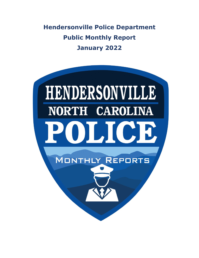**Hendersonville Police Department Public Monthly Report January 2022**

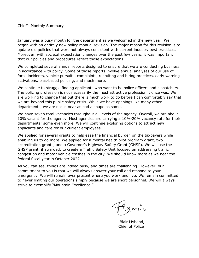Chief's Monthly Summary

January was a busy month for the department as we welcomed in the new year. We began with an entirely new policy manual revision. The major reason for this revision is to update old policies that were not always consistent with current industry best practices. Moreover, with societal expectation changes over the past few years, it was important that our policies and procedures reflect those expectations.

We completed several annual reports designed to ensure that we are conducting business in accordance with policy. Some of those reports involve annual analyses of our use of force incidents, vehicle pursuits, complaints, recruiting and hiring practices, early warning activations, bias-based policing, and much more.

We continue to struggle finding applicants who want to be police officers and dispatchers. The policing profession is not necessarily the most attractive profession it once was. We are working to change that but there is much work to do before I can comfortably say that we are beyond this public safety crisis. While we have openings like many other departments, we are not in near as bad a shape as some.

We have seven total vacancies throughout all levels of the agency. Overall, we are about 10% vacant for the agency. Most agencies are carrying a 10%-20% vacancy rate for their departments; some even more. We will continue exploring options to attract new applicants and care for our current employees.

We applied for several grants to help ease the financial burden on the taxpayers while enabling us to do more. We applied for a mental health pilot program grant, two accreditation grants, and a Governor's Highway Safety Grant (GHSP). We will use the GHSP grant, if awarded, to create a Traffic Safety Unit focused on addressing traffic congestion and motor vehicle crashes in the city. We should know more as we near the federal fiscal year in October 2022.

As you can see, things are indeed busy, and times are challenging. However, our commitment to you is that we will always answer your call and respond to your emergency. We will remain ever present where you work and live. We remain committed to never limiting our operations simply because we are short personnel. We will always strive to exemplify "Mountain Excellence."

 Blair Myhand, Chief of Police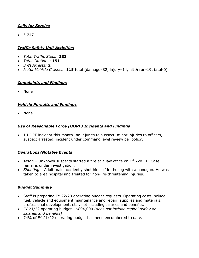# *Calls for Service*

 $• 5,247$ 

# *Traffic Safety Unit Activities*

- *Total Traffic Stops:* **233**
- *Total Citations:* **151**
- *DWI Arrests:* **2**
- *Motor Vehicle Crashes:* **115** total (damage–82, injury–14, hit & run-19, fatal-0)

#### *Complaints and Findings*

• None

#### *Vehicle Pursuits and Findings*

• None

#### *Use of Reasonable Force (UORF) Incidents and Findings*

• 1 UORF incident this month- no injuries to suspect, minor injuries to officers, suspect arrested, incident under command level review per policy.

# *Operations/Notable Events*

- *Arson* Unknown suspects started a fire at a law office on 1<sup>st</sup> Ave., E. Case remains under investigation.
- *Shooting* Adult male accidently shot himself in the leg with a handgun. He was taken to area hospital and treated for non-life-threatening injuries.

#### *Budget Summary*

- Staff is preparing FY 22/23 operating budget requests. Operating costs include fuel, vehicle and equipment maintenance and repair, supplies and materials, professional development, etc., not including salaries and benefits.
- FY 21/22 operating budget \$894,000 *(does not include capital outlay or salaries and benefits)*
- 74% of FY 21/22 operating budget has been encumbered to date.